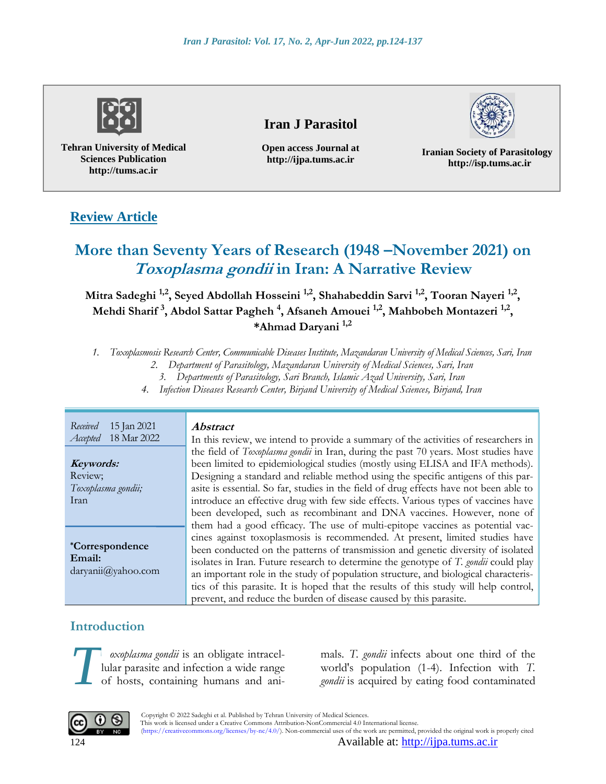

**Tehran University of Medical Sciences Publication http://tums.ac.ir**

# **Iran J Parasitol**

**Open access Journal at http://ijpa.tums.ac.ir**

**Iranian Society of Parasitology http://isp.tums.ac.ir**

# **Review Article**

# **More than Seventy Years of Research (1948 –November 2021) on Toxoplasma gondii in Iran: A Narrative Review**

**Mitra Sadeghi 1,2 , Seyed Abdollah Hosseini 1,2, Shahabeddin Sarvi 1,2, Tooran Nayeri 1,2 , Mehdi Sharif <sup>3</sup> , Abdol Sattar Pagheh <sup>4</sup> , Afsaneh Amouei 1,2, Mahbobeh Montazeri 1,2 , \*Ahmad Daryani 1,2**

*1. Toxoplasmosis Research Center, Communicable Diseases Institute, Mazandaran University of Medical Sciences, Sari, Iran* 

*2. Department of Parasitology, Mazandaran University of Medical Sciences, Sari, Iran 3. Departments of Parasitology, Sari Branch, Islamic Azad University, Sari, Iran*

*4. Infection Diseases Research Center, Birjand University of Medical Sciences, Birjand, Iran*

*Received* 15 Jan 2021 *Accepted* 18 Mar 2022

**Keywords:** Review; *Toxoplasma gondii;* Iran

**\*Correspondence Email:** [daryanii@yahoo.com](mailto:daryanii@yahoo.com)

### **Abstract**

In this review, we intend to provide a summary of the activities of researchers in the field of *Toxoplasma gondii* in Iran, during the past 70 years. Most studies have been limited to epidemiological studies (mostly using ELISA and IFA methods). Designing a standard and reliable method using the specific antigens of this parasite is essential. So far, studies in the field of drug effects have not been able to introduce an effective drug with few side effects. Various types of vaccines have been developed, such as recombinant and DNA vaccines. However, none of them had a good efficacy. The use of multi-epitope vaccines as potential vaccines against toxoplasmosis is recommended. At present, limited studies have been conducted on the patterns of transmission and genetic diversity of isolated isolates in Iran. Future research to determine the genotype of *T. gondii* could play an important role in the study of population structure, and biological characteristics of this parasite. It is hoped that the results of this study will help control, prevent, and reduce the burden of disease caused by this parasite.

# **Introduction**

*oxoplasma gondii* is an obligate intracellular parasite and infection a wide range of hosts, containing humans and ani-

mals. *T. gondii* infects about one third of the *exoplasma gondii* is an obligate intracel-<br>lular parasite and infection a wide range of hosts, containing humans and ani-<br>*zondii* is acquired by eating food contaminated *gondii* is acquired by eating food contaminated



 Copyright © 2022 Sadeghi et al. Published by Tehran University of Medical Sciences. This work is licensed under a Creative Commons Attribution-NonCommercial 4.0 International license. (https://creativecommons.org/licenses/by-nc/4.0/). Non-commercial uses of the work are permitted, provided the original work is properly cited

124 Available at: [http://ijpa.tums.ac.ir](http://ijpa.tums.ac.ir/)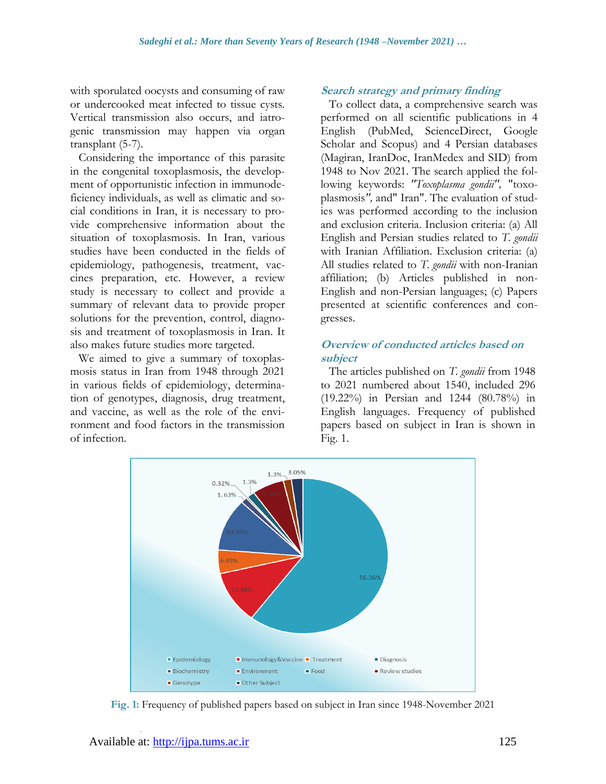with sporulated oocysts and consuming of raw or undercooked meat infected to tissue cysts. Vertical transmission also occurs, and iatrogenic transmission may happen via organ transplant (5-7).

Considering the importance of this parasite in the congenital toxoplasmosis, the development of opportunistic infection in immunodeficiency individuals, as well as climatic and social conditions in Iran, it is necessary to provide comprehensive information about the situation of toxoplasmosis. In Iran, various studies have been conducted in the fields of epidemiology, pathogenesis, treatment, vaccines preparation, etc. However, a review study is necessary to collect and provide a summary of relevant data to provide proper solutions for the prevention, control, diagnosis and treatment of toxoplasmosis in Iran. It also makes future studies more targeted.

We aimed to give a summary of toxoplasmosis status in Iran from 1948 through 2021 in various fields of epidemiology, determination of genotypes, diagnosis, drug treatment, and vaccine, as well as the role of the environment and food factors in the transmission of infection.

### **Search strategy and primary finding**

To collect data, a comprehensive search was performed on all scientific publications in 4 English (PubMed, ScienceDirect, Google Scholar and Scopus) and 4 Persian databases (Magiran, IranDoc, IranMedex and SID) from 1948 to Nov 2021. The search applied the following keywords: *"Toxoplasma gondii",* "toxoplasmosis*",* and" Iran". The evaluation of studies was performed according to the inclusion and exclusion criteria. Inclusion criteria: (a) All English and Persian studies related to *T. gondii* with Iranian Affiliation. Exclusion criteria: (a) All studies related to *T. gondii* with non-Iranian affiliation; (b) Articles published in non-English and non-Persian languages; (c) Papers presented at scientific conferences and congresses.

### **Overview of conducted articles based on subject**

The articles published on *T. gondii* from 1948 to 2021 numbered about 1540, included 296 (19.22%) in Persian and 1244 (80.78%) in English languages. Frequency of published papers based on subject in Iran is shown in Fig. 1.



**Fig. 1:** Frequency of published papers based on subject in Iran since 1948-November 2021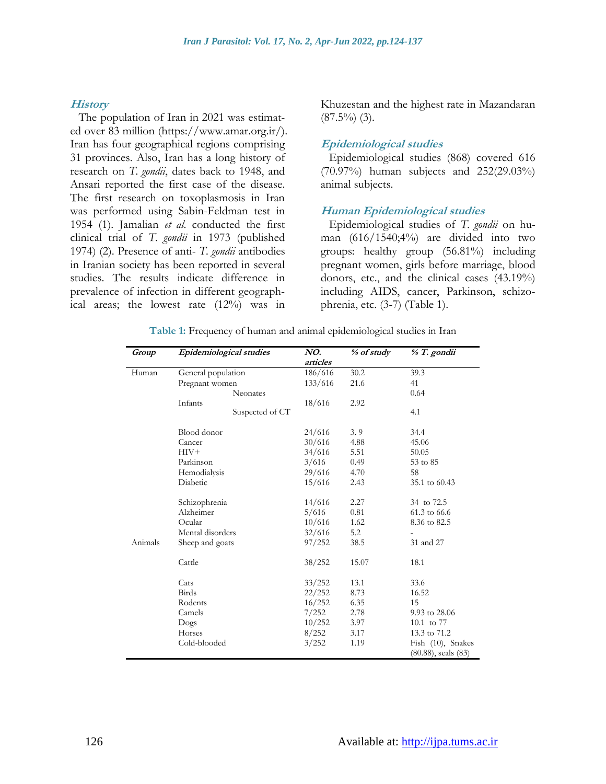#### **History**

The population of Iran in 2021 was estimated over 83 million (https://www.amar.org.ir/). Iran has four geographical regions comprising 31 provinces. Also, Iran has a long history of research on *T. gondii*, dates back to 1948, and Ansari reported the first case of the disease. The first research on toxoplasmosis in Iran was performed using Sabin-Feldman test in 1954 (1). Jamalian *et al*. conducted the first clinical trial of *T. gondii* in 1973 (published 1974) (2). Presence of anti- *T. gondii* antibodies in Iranian society has been reported in several studies. The results indicate difference in prevalence of infection in different geographical areas; the lowest rate (12%) was in

Khuzestan and the highest rate in Mazandaran  $(87.5\%)$  (3).

#### **Epidemiological studies**

Epidemiological studies (868) covered 616 (70.97%) human subjects and 252(29.03%) animal subjects.

#### **Human Epidemiological studies**

Epidemiological studies of *T. gondii* on human (616/1540;4%) are divided into two groups: healthy group (56.81%) including pregnant women, girls before marriage, blood donors, etc., and the clinical cases (43.19%) including AIDS, cancer, Parkinson, schizophrenia, etc. (3-7) (Table 1).

| Group   | Epidemiological studies | NO.      | % of study | % T. gondii              |
|---------|-------------------------|----------|------------|--------------------------|
|         |                         | articles |            |                          |
| Human   | General population      | 186/616  | 30.2       | 39.3                     |
|         | Pregnant women          | 133/616  | 21.6       | 41                       |
|         | Neonates                |          |            | 0.64                     |
|         | Infants                 | 18/616   | 2.92       |                          |
|         | Suspected of CT         |          |            | 4.1                      |
|         | Blood donor             | 24/616   | 3.9        | 34.4                     |
|         | Cancer                  | 30/616   | 4.88       | 45.06                    |
|         | $HIV+$                  | 34/616   | 5.51       | 50.05                    |
|         | Parkinson               | 3/616    | 0.49       | 53 to 85                 |
|         | Hemodialysis            | 29/616   | 4.70       | 58                       |
|         | Diabetic                | 15/616   | 2.43       | 35.1 to 60.43            |
|         | Schizophrenia           | 14/616   | 2.27       | 34 to 72.5               |
|         | Alzheimer               | 5/616    | 0.81       | 61.3 to 66.6             |
|         | Ocular                  | 10/616   | 1.62       | 8.36 to 82.5             |
|         | Mental disorders        | 32/616   | 5.2        |                          |
| Animals | Sheep and goats         | 97/252   | 38.5       | 31 and 27                |
|         | Cattle                  | 38/252   | 15.07      | 18.1                     |
|         | Cats                    | 33/252   | 13.1       | 33.6                     |
|         | Birds                   | 22/252   | 8.73       | 16.52                    |
|         | Rodents                 | 16/252   | 6.35       | 15                       |
|         | Camels                  | 7/252    | 2.78       | 9.93 to 28.06            |
|         | Dogs                    | 10/252   | 3.97       | 10.1 to 77               |
|         | Horses                  | 8/252    | 3.17       | 13.3 to 71.2             |
|         | Cold-blooded            | 3/252    | 1.19       | Fish (10), Snakes        |
|         |                         |          |            | $(80.88)$ , seals $(83)$ |

**Table 1:** Frequency of human and animal epidemiological studies in Iran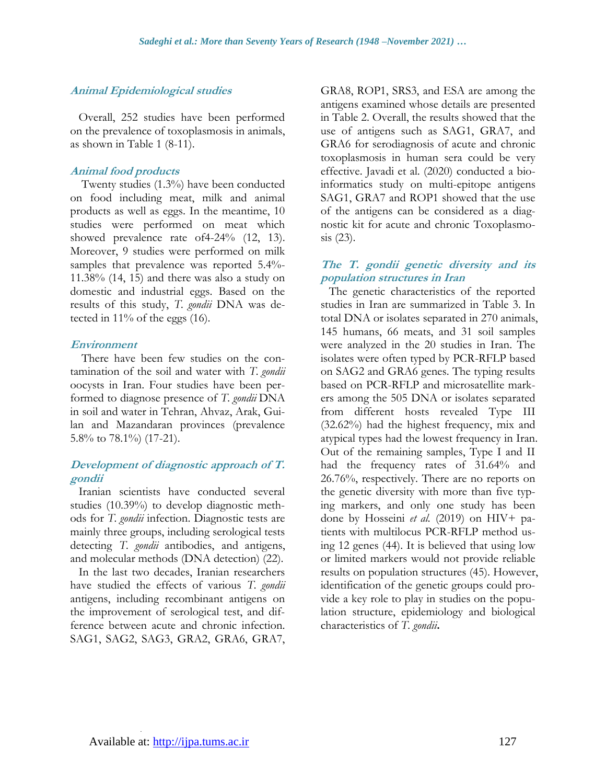#### **Animal Epidemiological studies**

Overall, 252 studies have been performed on the prevalence of toxoplasmosis in animals, as shown in Table 1 (8-11).

#### **Animal food products**

Twenty studies (1.3%) have been conducted on food including meat, milk and animal products as well as eggs. In the meantime, 10 studies were performed on meat which showed prevalence rate of4-24% (12, 13). Moreover, 9 studies were performed on milk samples that prevalence was reported 5.4%- 11.38% (14, 15) and there was also a study on domestic and industrial eggs. Based on the results of this study, *T. gondii* DNA was detected in 11% of the eggs (16).

#### **Environment**

There have been few studies on the contamination of the soil and water with *T. gondii*  oocysts in Iran. Four studies have been performed to diagnose presence of *T. gondii* DNA in soil and water in Tehran, Ahvaz, Arak, Guilan and Mazandaran provinces (prevalence 5.8% to 78.1%) (17-21).

### **Development of diagnostic approach of T. gondii**

Iranian scientists have conducted several studies (10.39%) to develop diagnostic methods for *T. gondii* infection. Diagnostic tests are mainly three groups, including serological tests detecting *T. gondii* antibodies, and antigens, and molecular methods (DNA detection) (22).

In the last two decades, Iranian researchers have studied the effects of various *T. gondii* antigens, including recombinant antigens on the improvement of serological test, and difference between acute and chronic infection. SAG1, SAG2, SAG3, GRA2, GRA6, GRA7, GRA8, ROP1, SRS3, and ESA are among the antigens examined whose details are presented in Table 2. Overall, the results showed that the use of antigens such as SAG1, GRA7, and GRA6 for serodiagnosis of acute and chronic toxoplasmosis in human sera could be very effective. Javadi et al. (2020) conducted a bioinformatics study on multi-epitope antigens SAG1, GRA7 and ROP1 showed that the use of the antigens can be considered as a diagnostic kit for acute and chronic Toxoplasmosis (23).

### **The T. gondii genetic diversity and its population structures in Iran**

The genetic characteristics of the reported studies in Iran are summarized in Table 3. In total DNA or isolates separated in 270 animals, 145 humans, 66 meats, and 31 soil samples were analyzed in the 20 studies in Iran. The isolates were often typed by PCR-RFLP based on SAG2 and GRA6 genes. The typing results based on PCR-RFLP and microsatellite markers among the 505 DNA or isolates separated from different hosts revealed Type III (32.62%) had the highest frequency, mix and atypical types had the lowest frequency in Iran. Out of the remaining samples, Type I and II had the frequency rates of 31.64% and 26.76%, respectively. There are no reports on the genetic diversity with more than five typing markers, and only one study has been done by Hosseini *et al.* (2019) on HIV+ patients with multilocus PCR-RFLP method using 12 genes (44). It is believed that using low or limited markers would not provide reliable results on population structures (45). However, identification of the genetic groups could provide a key role to play in studies on the population structure, epidemiology and biological characteristics of *T. gondii***.**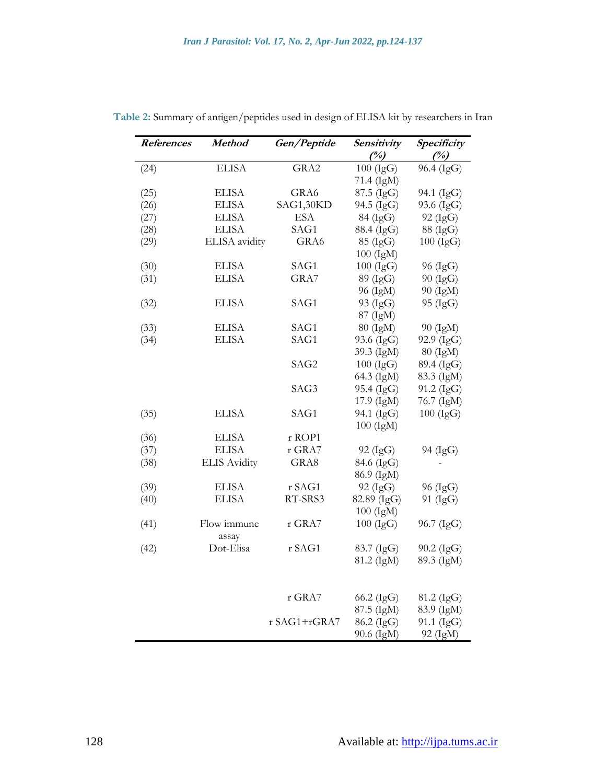| References | <b>Method</b>       | Gen/Peptide  | Sensitivity | Specificity |
|------------|---------------------|--------------|-------------|-------------|
|            |                     |              | (%)         | (%)         |
| (24)       | <b>ELISA</b>        | GRA2         | $100$ (IgG) | 96.4 (IgG)  |
|            |                     |              | 71.4 (IgM)  |             |
| (25)       | <b>ELISA</b>        | GRA6         | 87.5 (IgG)  | 94.1 (IgG)  |
| (26)       | <b>ELISA</b>        | SAG1,30KD    | 94.5 (IgG)  | 93.6 (IgG)  |
| (27)       | <b>ELISA</b>        | <b>ESA</b>   | 84 (IgG)    | 92 (IgG)    |
| (28)       | <b>ELISA</b>        | SAG1         | 88.4 (IgG)  | 88 (IgG)    |
| (29)       | ELISA avidity       | GRA6         | 85 (IgG)    | $100$ (IgG) |
|            |                     |              | 100 (IgM)   |             |
| (30)       | <b>ELISA</b>        | SAG1         | $100$ (IgG) | 96 (IgG)    |
| (31)       | <b>ELISA</b>        | GRA7         | 89 (IgG)    | 90 (IgG)    |
|            |                     |              | 96 (IgM)    | 90 (IgM)    |
| (32)       | <b>ELISA</b>        | SAG1         | 93 (IgG)    | 95 (IgG)    |
|            |                     |              | 87 (IgM)    |             |
| (33)       | <b>ELISA</b>        | SAG1         | 80 (IgM)    | 90 (IgM)    |
| (34)       | <b>ELISA</b>        | SAG1         | 93.6 (IgG)  | 92.9 (IgG)  |
|            |                     |              | 39.3 (IgM)  | 80 (IgM)    |
|            |                     | SAG2         | $100$ (IgG) | 89.4 (IgG)  |
|            |                     |              | 64.3 (IgM)  | 83.3 (IgM)  |
|            |                     | SAG3         | 95.4 (IgG)  | 91.2 (IgG)  |
|            |                     |              | 17.9 (IgM)  | 76.7 (IgM)  |
| (35)       | <b>ELISA</b>        | SAG1         | 94.1 (IgG)  | $100$ (IgG) |
|            |                     |              | $100$ (IgM) |             |
| (36)       | <b>ELISA</b>        | r ROP1       |             |             |
| (37)       | <b>ELISA</b>        | r GRA7       | 92 (IgG)    | 94 (IgG)    |
| (38)       | <b>ELIS Avidity</b> | GRA8         | 84.6 (IgG)  |             |
|            |                     |              | 86.9 (IgM)  |             |
| (39)       | <b>ELISA</b>        | r SAG1       | 92 (IgG)    | 96 (IgG)    |
| (40)       | <b>ELISA</b>        | RT-SRS3      | 82.89 (IgG) | 91 (IgG)    |
|            |                     |              | 100 (IgM)   |             |
| (41)       | Flow immune         | r GRA7       | $100$ (IgG) | 96.7 (IgG)  |
|            | assay               |              |             |             |
| (42)       | Dot-Elisa           | r SAG1       | 83.7 (IgG)  | 90.2 (IgG)  |
|            |                     |              | 81.2 (IgM)  | 89.3 (IgM)  |
|            |                     |              |             |             |
|            |                     |              |             |             |
|            |                     | r GRA7       | 66.2 (IgG)  | 81.2 (IgG)  |
|            |                     |              | 87.5 (IgM)  | 83.9 (IgM)  |
|            |                     | r SAG1+rGRA7 | 86.2 (IgG)  | 91.1 (IgG)  |
|            |                     |              | 90.6 (IgM)  | 92 (IgM)    |

**Table 2:** Summary of antigen/peptides used in design of ELISA kit by researchers in Iran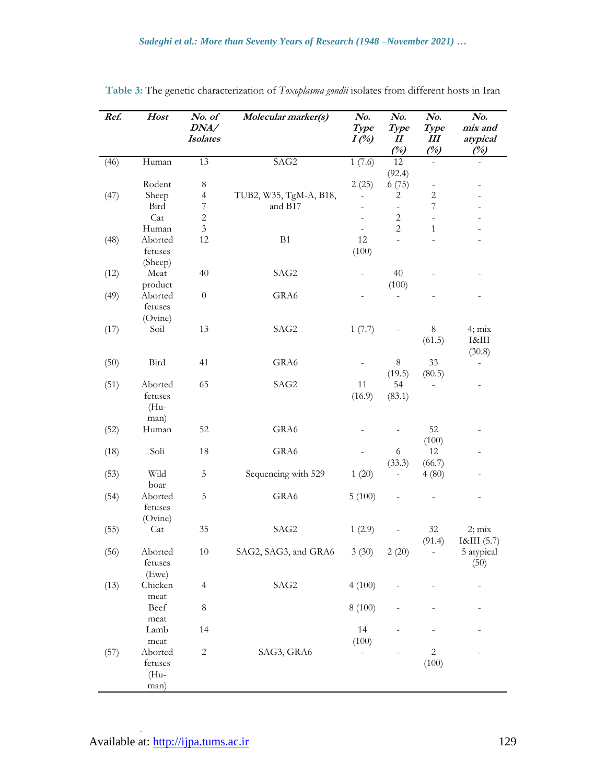| Ref. | Host             | No. of                  | Molecular marker(s)    | No.                            | No.                                        | No.                          | No.             |
|------|------------------|-------------------------|------------------------|--------------------------------|--------------------------------------------|------------------------------|-----------------|
|      |                  | DNA/<br><b>Isolates</b> |                        | Type                           | Type<br>$\boldsymbol{\mathit{II}}$         | Type<br>Ш                    | mix and         |
|      |                  |                         |                        | $I(\%)$                        | (%)                                        | (%)                          | atypical<br>(%) |
| (46) | Human            | 13                      | SAG2                   | 1(7.6)                         | 12                                         |                              |                 |
|      |                  |                         |                        |                                | (92.4)                                     |                              |                 |
|      | Rodent           | $\,8\,$                 |                        | 2(25)                          | 6(75)                                      | $\qquad \qquad \blacksquare$ |                 |
| (47) | Sheep            | $\overline{4}$          | TUB2, W35, TgM-A, B18, |                                | 2                                          | $\sqrt{2}$                   |                 |
|      | Bird             | $\sqrt{ }$              | and B17                |                                |                                            | $\boldsymbol{7}$             |                 |
|      | Cat              | $\overline{c}$          |                        |                                | $\sqrt{2}$                                 | $\overline{\phantom{0}}$     |                 |
| (48) | Human<br>Aborted | 3<br>12                 | B1                     | $\overline{\phantom{a}}$<br>12 | $\overline{2}$<br>$\overline{\phantom{a}}$ | $\mathbf{1}$                 |                 |
|      | fetuses          |                         |                        | (100)                          |                                            |                              |                 |
|      | (Sheep)          |                         |                        |                                |                                            |                              |                 |
| (12) | Meat             | 40                      | SAG2                   |                                | 40                                         |                              |                 |
|      | product          |                         |                        |                                | (100)                                      |                              |                 |
| (49) | Aborted          | $\boldsymbol{0}$        | GRA6                   |                                |                                            |                              |                 |
|      | fetuses          |                         |                        |                                |                                            |                              |                 |
|      | (Ovine)          |                         |                        |                                |                                            |                              |                 |
| (17) | Soil             | 13                      | SAG2                   | 1(7.7)                         |                                            | 8                            | $4; \text{mix}$ |
|      |                  |                         |                        |                                |                                            | (61.5)                       | I&III           |
|      |                  |                         |                        |                                |                                            |                              | (30.8)          |
| (50) | Bird             | 41                      | GRA6                   |                                | 8                                          | 33                           |                 |
| (51) | Aborted          | 65                      | SAG2                   | 11                             | (19.5)<br>54                               | (80.5)                       |                 |
|      | fetuses          |                         |                        | (16.9)                         | (83.1)                                     |                              |                 |
|      | $(Hu-$           |                         |                        |                                |                                            |                              |                 |
|      | man)             |                         |                        |                                |                                            |                              |                 |
| (52) | Human            | 52                      | GRA6                   |                                |                                            | 52                           |                 |
|      |                  |                         |                        |                                |                                            | (100)                        |                 |
| (18) | Soli             | 18                      | GRA6                   |                                | 6                                          | 12                           |                 |
|      |                  |                         |                        |                                | (33.3)                                     | (66.7)                       |                 |
| (53) | Wild             | 5                       | Sequencing with 529    | 1(20)                          |                                            | 4(80)                        |                 |
| (54) | boar<br>Aborted  | 5                       | GRA6                   | 5(100)                         |                                            |                              |                 |
|      | fetuses          |                         |                        |                                |                                            |                              |                 |
|      | (Ovine)          |                         |                        |                                |                                            |                              |                 |
| (55) | Cat              | 35                      | SAG2                   | 1(2.9)                         |                                            | 32                           | $2; \text{mix}$ |
|      |                  |                         |                        |                                |                                            | (91.4)                       | I&III (5.7)     |
| (56) | Aborted          | $10\,$                  | SAG2, SAG3, and GRA6   | 3(30)                          | 2(20)                                      |                              | 5 atypical      |
|      | fetuses          |                         |                        |                                |                                            |                              | (50)            |
|      | (Ewe)            |                         |                        |                                |                                            |                              |                 |
| (13) | Chicken          | $\overline{4}$          | SAG2                   | 4(100)                         |                                            |                              |                 |
|      | meat<br>Beef     | $\,8\,$                 |                        | 8 (100)                        |                                            |                              |                 |
|      | meat             |                         |                        |                                |                                            |                              |                 |
|      | Lamb             | 14                      |                        | 14                             |                                            |                              |                 |
|      | meat             |                         |                        | (100)                          |                                            |                              |                 |
| (57) | Aborted          | $\sqrt{2}$              | SAG3, GRA6             |                                |                                            | $\sqrt{2}$                   |                 |
|      | fetuses          |                         |                        |                                |                                            | (100)                        |                 |
|      | (Hu-             |                         |                        |                                |                                            |                              |                 |
|      | man)             |                         |                        |                                |                                            |                              |                 |

**Table 3:** The genetic characterization of *Toxoplasma gondii* isolates from different hosts in Iran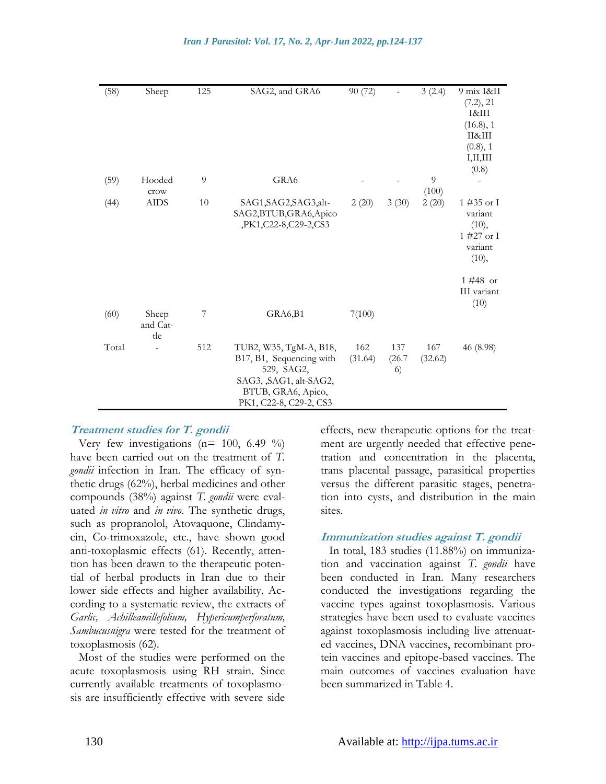| (58)  | Sheep                    | 125 | SAG2, and GRA6                                                                                                                              | 90 (72)        |                     | 3(2.4)         | 9 mix I&II<br>(7.2), 21<br>I&III<br>(16.8), 1<br>П&Ш<br>(0.8), 1<br>I,II,III<br>(0.8) |
|-------|--------------------------|-----|---------------------------------------------------------------------------------------------------------------------------------------------|----------------|---------------------|----------------|---------------------------------------------------------------------------------------|
| (59)  | Hooded                   | 9   | GRA6                                                                                                                                        |                |                     | 9              |                                                                                       |
| (44)  | crow<br><b>AIDS</b>      | 10  | SAG1, SAG2, SAG3, alt-<br>SAG2,BTUB,GRA6,Apico<br>,PK1,C22-8,C29-2,CS3                                                                      | 2(20)          | 3(30)               | (100)<br>2(20) | 1 #35 or I<br>variant<br>(10),<br>$1\#27$ or I<br>variant<br>(10),                    |
|       |                          |     |                                                                                                                                             |                |                     |                | 1 #48 or<br>III variant<br>(10)                                                       |
| (60)  | Sheep<br>and Cat-<br>tle | 7   | GRA6,B1                                                                                                                                     | 7(100)         |                     |                |                                                                                       |
| Total |                          | 512 | TUB2, W35, TgM-A, B18,<br>B17, B1, Sequencing with<br>529, SAG2,<br>SAG3, , SAG1, alt-SAG2,<br>BTUB, GRA6, Apico,<br>PK1, C22-8, C29-2, CS3 | 162<br>(31.64) | 137<br>(26.7)<br>6) | 167<br>(32.62) | 46 (8.98)                                                                             |

#### **Treatment studies for T. gondii**

Very few investigations ( $n=100$ , 6.49 %) have been carried out on the treatment of *T. gondii* infection in Iran. The efficacy of synthetic drugs (62%), herbal medicines and other compounds (38%) against *T. gondii* were evaluated *in vitro* and *in vivo*. The synthetic drugs, such as propranolol, Atovaquone, Clindamycin, Co-trimoxazole, etc., have shown good anti-toxoplasmic effects (61). Recently, attention has been drawn to the therapeutic potential of herbal products in Iran due to their lower side effects and higher availability. According to a systematic review, the extracts of *Garlic, Achilleamillefolium, Hypericumperforatum, Sambucusnigra* were tested for the treatment of toxoplasmosis (62).

Most of the studies were performed on the acute toxoplasmosis using RH strain. Since currently available treatments of toxoplasmosis are insufficiently effective with severe side effects, new therapeutic options for the treatment are urgently needed that effective penetration and concentration in the placenta, trans placental passage, parasitical properties versus the different parasitic stages, penetration into cysts, and distribution in the main sites.

#### **Immunization studies against T. gondii**

In total, 183 studies (11.88%) on immunization and vaccination against *T. gondii* have been conducted in Iran. Many researchers conducted the investigations regarding the vaccine types against toxoplasmosis. Various strategies have been used to evaluate vaccines against toxoplasmosis including live attenuated vaccines, DNA vaccines, recombinant protein vaccines and epitope-based vaccines. The main outcomes of vaccines evaluation have been summarized in Table 4.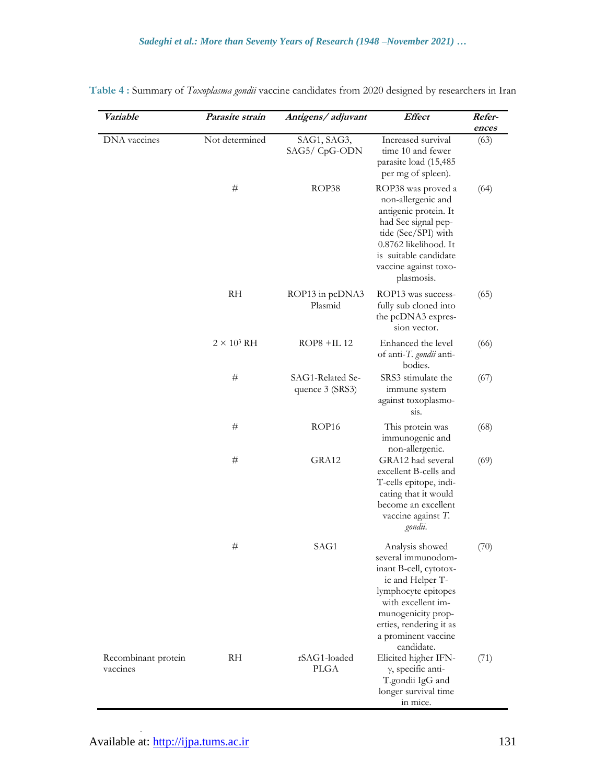| Variable                        | Parasite strain    | Antigens/ adjuvant                  | <b>Effect</b>                                                                                                                                                                                                          | Refer-<br>ences |
|---------------------------------|--------------------|-------------------------------------|------------------------------------------------------------------------------------------------------------------------------------------------------------------------------------------------------------------------|-----------------|
| DNA vaccines                    | Not determined     | SAG1, SAG3,<br>SAG5/ CpG-ODN        | Increased survival<br>time 10 and fewer<br>parasite load (15,485<br>per mg of spleen).                                                                                                                                 | (63)            |
|                                 | #                  | ROP38                               | ROP38 was proved a<br>non-allergenic and<br>antigenic protein. It<br>had Sec signal pep-<br>tide (Sec/SPI) with<br>0.8762 likelihood. It<br>is suitable candidate<br>vaccine against toxo-<br>plasmosis.               | (64)            |
|                                 | RH                 | ROP13 in pcDNA3<br>Plasmid          | ROP13 was success-<br>fully sub cloned into<br>the pcDNA3 expres-<br>sion vector.                                                                                                                                      | (65)            |
|                                 | $2 \times 10^3$ RH | $ROP8 + IL12$                       | Enhanced the level<br>of anti-T. gondii anti-<br>bodies.                                                                                                                                                               | (66)            |
|                                 | #                  | SAG1-Related Se-<br>quence 3 (SRS3) | SRS3 stimulate the<br>immune system<br>against toxoplasmo-<br>sis.                                                                                                                                                     | (67)            |
|                                 | #                  | ROP16                               | This protein was<br>immunogenic and<br>non-allergenic.                                                                                                                                                                 | (68)            |
|                                 | #                  | GRA12                               | GRA12 had several<br>excellent B-cells and<br>T-cells epitope, indi-<br>cating that it would<br>become an excellent<br>vaccine against T.<br>gondii.                                                                   | (69)            |
|                                 | #                  | SAG1                                | Analysis showed<br>several immunodom-<br>inant B-cell, cytotox-<br>ic and Helper T-<br>lymphocyte epitopes<br>with excellent im-<br>munogenicity prop-<br>erties, rendering it as<br>a prominent vaccine<br>candidate. | (70)            |
| Recombinant protein<br>vaccines | <b>RH</b>          | rSAG1-loaded<br><b>PLGA</b>         | Elicited higher IFN-<br>$\gamma$ , specific anti-<br>T.gondii IgG and<br>longer survival time<br>in mice.                                                                                                              | (71)            |

**Table 4 :** Summary of *Toxoplasma gondii* vaccine candidates from 2020 designed by researchers in Iran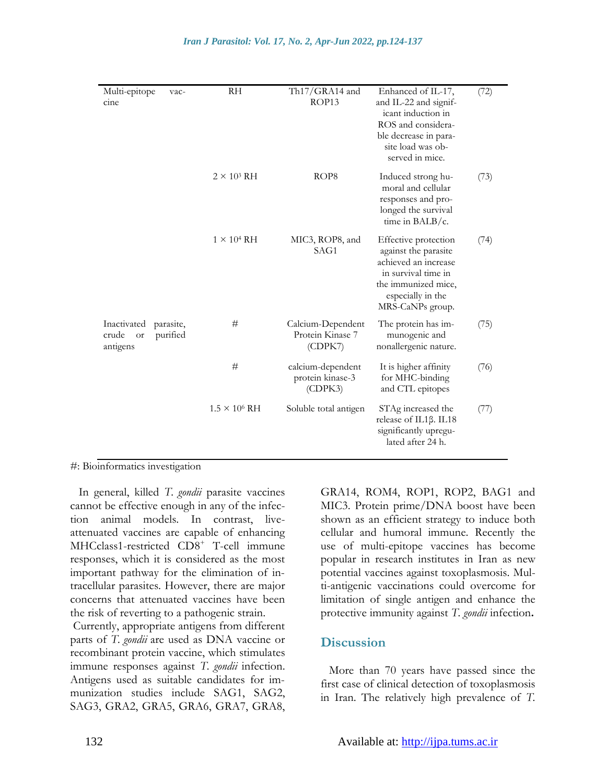| Multi-epitope<br>vac-<br>cine                                   | <b>RH</b>            | Th17/GRA14 and<br>ROP13                          | Enhanced of IL-17,<br>and IL-22 and signif-<br>icant induction in<br>ROS and considera-<br>ble decrease in para-<br>site load was ob-<br>served in mice.    | (72) |
|-----------------------------------------------------------------|----------------------|--------------------------------------------------|-------------------------------------------------------------------------------------------------------------------------------------------------------------|------|
|                                                                 | $2 \times 10^3$ RH   | ROP <sub>8</sub>                                 | Induced strong hu-<br>moral and cellular<br>responses and pro-<br>longed the survival<br>time in $BALB/c$ .                                                 | (73) |
|                                                                 | $1 \times 10^4$ RH   | MIC3, ROP8, and<br>SAG1                          | Effective protection<br>against the parasite<br>achieved an increase<br>in survival time in<br>the immunized mice,<br>especially in the<br>MRS-CaNPs group. | (74) |
| Inactivated<br>parasite,<br>purified<br>crude<br>or<br>antigens | #                    | Calcium-Dependent<br>Protein Kinase 7<br>(CDPK7) | The protein has im-<br>munogenic and<br>nonallergenic nature.                                                                                               | (75) |
|                                                                 | #                    | calcium-dependent<br>protein kinase-3<br>(CDPK3) | It is higher affinity<br>for MHC-binding<br>and CTL epitopes                                                                                                | (76) |
|                                                                 | $1.5 \times 10^6$ RH | Soluble total antigen                            | STAg increased the<br>release of IL1β. IL18<br>significantly upregu-<br>lated after 24 h.                                                                   | (77) |

#: Bioinformatics investigation

In general, killed *T. gondii* parasite vaccines cannot be effective enough in any of the infection animal models. In contrast, liveattenuated vaccines are capable of enhancing MHCclass1-restricted CD8<sup>+</sup> T-cell immune responses, which it is considered as the most important pathway for the elimination of intracellular parasites. However, there are major concerns that attenuated vaccines have been the risk of reverting to a pathogenic strain.

Currently, appropriate antigens from different parts of *T. gondii* are used as DNA vaccine or recombinant protein vaccine, which stimulates immune responses against *T. gondii* infection. Antigens used as suitable candidates for immunization studies include SAG1, SAG2, SAG3, GRA2, GRA5, GRA6, GRA7, GRA8,

GRA14, ROM4, ROP1, ROP2, BAG1 and MIC3. Protein prime/DNA boost have been shown as an efficient strategy to induce both cellular and humoral immune. Recently the use of multi-epitope vaccines has become popular in [research institutes in Iran](http://ams.ac.ir/AIM/NEWPUB/13/16/8/AIM/NEWPUB/07/10/2/0011.pdf) as new potential vaccines against toxoplasmosis. Multi-antigenic vaccinations could overcome for limitation of single antigen and enhance the protective immunity against *T. gondii* infection**.**

### **Discussion**

More than 70 years have passed since the first case of clinical detection of toxoplasmosis in Iran. The relatively high prevalence of *T.*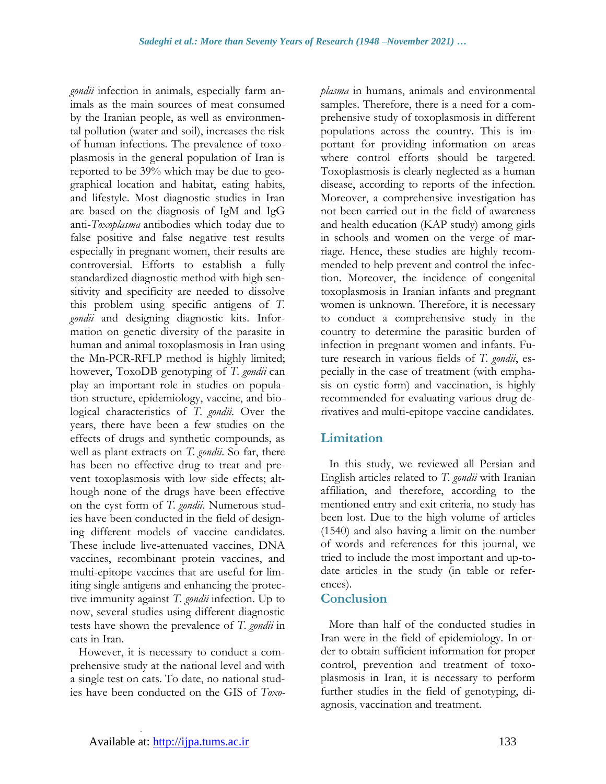*gondii* infection in animals, especially farm animals as the main sources of meat consumed by the Iranian people, as well as environmental pollution (water and soil), increases the risk of human infections. The prevalence of toxoplasmosis in the general population of Iran is reported to be 39% which may be due to geographical location and habitat, eating habits, and lifestyle. Most diagnostic studies in Iran are based on the diagnosis of IgM and IgG anti-*Toxoplasma* antibodies which today due to false positive and false negative test results especially in pregnant women, their results are controversial. Efforts to establish a fully standardized diagnostic method with high sensitivity and specificity are needed to dissolve this problem using specific antigens of *T. gondii* and designing diagnostic kits. Information on genetic diversity of the parasite in human and animal toxoplasmosis in Iran using the Mn-PCR-RFLP method is highly limited; however, ToxoDB genotyping of *T. gondii* can play an important role in studies on population structure, epidemiology, vaccine, and biological characteristics of *T. gondii*. Over the years, there have been a few studies on the effects of drugs and synthetic compounds, as well as plant extracts on *T. gondii*. So far, there has been no effective drug to treat and prevent toxoplasmosis with low side effects; although none of the drugs have been effective on the cyst form of *T. gondii*. Numerous studies have been conducted in the field of designing different models of vaccine candidates. These include live-attenuated vaccines, DNA vaccines, recombinant protein vaccines, and multi-epitope vaccines that are useful for limiting single antigens and enhancing the protective immunity against *T. gondii* infection. Up to now, several studies using different diagnostic tests have shown the prevalence of *T. gondii* in cats in Iran.

However, it is necessary to conduct a comprehensive study at the national level and with a single test on cats. To date, no national studies have been conducted on the GIS of *Toxo-* *plasma* in humans, animals and environmental samples. Therefore, there is a need for a comprehensive study of toxoplasmosis in different populations across the country. This is important for providing information on areas where control efforts should be targeted. Toxoplasmosis is clearly neglected as a human disease, according to reports of the infection. Moreover, a comprehensive investigation has not been carried out in the field of awareness and health education (KAP study) among girls in schools and women on the verge of marriage. Hence, these studies are highly recommended to help prevent and control the infection. Moreover, the incidence of congenital toxoplasmosis in Iranian infants and pregnant women is unknown. Therefore, it is necessary to conduct a comprehensive study in the country to determine the parasitic burden of infection in pregnant women and infants. Future research in various fields of *T. gondii*, especially in the case of treatment (with emphasis on cystic form) and vaccination, is highly recommended for evaluating various drug derivatives and multi-epitope vaccine candidates.

# **Limitation**

In this study, we reviewed all Persian and English articles related to *T. gondii* with Iranian affiliation, and therefore, according to the mentioned entry and exit criteria, no study has been lost. Due to the high volume of articles (1540) and also having a limit on the number of words and references for this journal, we tried to include the most important and up-todate articles in the study (in table or references).

# **Conclusion**

More than half of the conducted studies in Iran were in the field of epidemiology. In order to obtain sufficient information for proper control, prevention and treatment of toxoplasmosis in Iran, it is necessary to perform further studies in the field of genotyping, diagnosis, vaccination and treatment.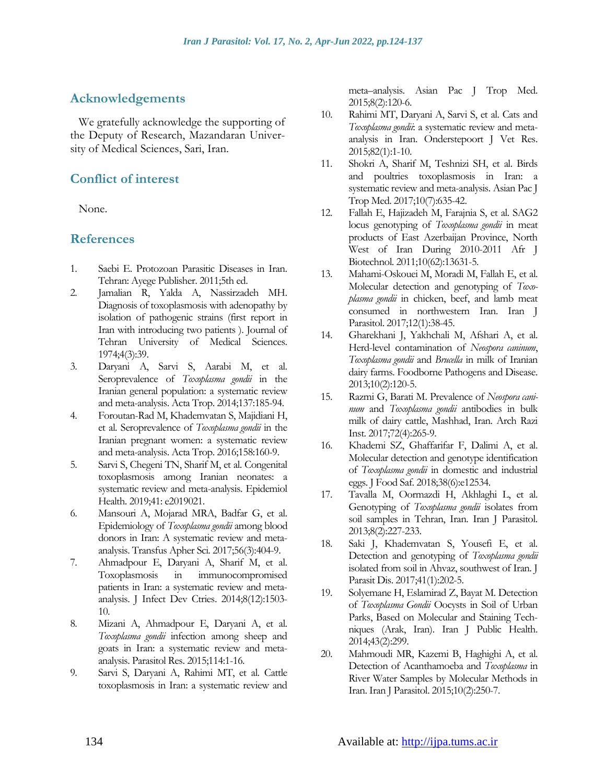# **Acknowledgements**

We gratefully acknowledge the supporting of the Deputy of Research, Mazandaran University of Medical Sciences, Sari, Iran.

# **Conflict of interest**

None.

## **References**

- 1. Saebi E. Protozoan Parasitic Diseases in Iran. Tehran: Ayege Publisher. 2011;5th ed.
- 2. Jamalian R, Yalda A, Nassirzadeh MH. Diagnosis of toxoplasmosis with adenopathy by isolation of pathogenic strains (first report in Iran with introducing two patients ). Journal of Tehran University of Medical Sciences. 1974;4(3):39.
- 3. Daryani A, Sarvi S, Aarabi M, et al. Seroprevalence of *Toxoplasma gondii* in the Iranian general population: a systematic review and meta-analysis. Acta Trop. 2014;137:185-94.
- 4. Foroutan-Rad M, Khademvatan S, Majidiani H, et al. Seroprevalence of *Toxoplasma gondii* in the Iranian pregnant women: a systematic review and meta-analysis. Acta Trop. 2016;158:160-9.
- 5. Sarvi S, Chegeni TN, Sharif M, et al. Congenital toxoplasmosis among Iranian neonates: a systematic review and meta-analysis. Epidemiol Health. 2019;41: e2019021.
- 6. Mansouri A, Mojarad MRA, Badfar G, et al. Epidemiology of *Toxoplasma gondii* among blood donors in Iran: A systematic review and metaanalysis. Transfus Apher Sci. 2017;56(3):404-9.
- 7. Ahmadpour E, Daryani A, Sharif M, et al. Toxoplasmosis in immunocompromised patients in Iran: a systematic review and metaanalysis. J Infect Dev Ctries. 2014;8(12):1503- 10.
- 8. Mizani A, Ahmadpour E, Daryani A, et al. *Toxoplasma gondii* infection among sheep and goats in Iran: a systematic review and metaanalysis. Parasitol Res. 2015;114:1-16.
- 9. Sarvi S, Daryani A, Rahimi MT, et al. Cattle toxoplasmosis in Iran: a systematic review and

meta–analysis. Asian Pac J Trop Med. 2015;8(2):120-6.

- 10. Rahimi MT, Daryani A, Sarvi S, et al. Cats and *Toxoplasma gondii*: a systematic review and metaanalysis in Iran. Onderstepoort J Vet Res. 2015;82(1):1-10.
- 11. Shokri A, Sharif M, Teshnizi SH, et al. Birds and poultries toxoplasmosis in Iran: a systematic review and meta-analysis. Asian Pac J Trop Med. 2017;10(7):635-42.
- 12. Fallah E, Hajizadeh M, Farajnia S, et al. SAG2 locus genotyping of *Toxoplasma gondii* in meat products of East Azerbaijan Province, North West of Iran During 2010-2011 Afr J Biotechnol. 2011;10(62):13631-5.
- 13. Mahami-Oskouei M, Moradi M, Fallah E, et al. Molecular detection and genotyping of *Toxoplasma gondii* in chicken, beef, and lamb meat consumed in northwestern Iran. Iran J Parasitol. 2017;12(1):38-45.
- 14. Gharekhani J, Yakhchali M, Afshari A, et al. Herd-level contamination of *Neospora caninum*, *Toxoplasma gondii* and *Brucella* in milk of Iranian dairy farms. Foodborne Pathogens and Disease. 2013;10(2):120-5.
- 15. Razmi G, Barati M. Prevalence of *Neospora caninum* and *Toxoplasma gondii* antibodies in bulk milk of dairy cattle, Mashhad, Iran. Arch Razi Inst. 2017;72(4):265-9.
- 16. Khademi SZ, Ghaffarifar F, Dalimi A, et al. Molecular detection and genotype identification of *Toxoplasma gondii* in domestic and industrial eggs. J Food Saf. 2018;38(6):e12534.
- 17. Tavalla M, Oormazdi H, Akhlaghi L, et al. Genotyping of *Toxoplasma gondii* isolates from soil samples in Tehran, Iran. Iran J Parasitol. 2013;8(2):227-233.
- 18. Saki J, Khademvatan S, Yousefi E, et al. Detection and genotyping of *Toxoplasma gondii* isolated from soil in Ahvaz, southwest of Iran. J Parasit Dis. 2017;41(1):202-5.
- 19. Solyemane H, Eslamirad Z, Bayat M. Detection of *Toxoplasma Gondii* Oocysts in Soil of Urban Parks, Based on Molecular and Staining Techniques (Arak, Iran). Iran J Public Health. 2014;43(2):299.
- 20. Mahmoudi MR, Kazemi B, Haghighi A, et al. Detection of Acanthamoeba and *Toxoplasma* in River Water Samples by Molecular Methods in Iran. Iran J Parasitol. 2015;10(2):250-7.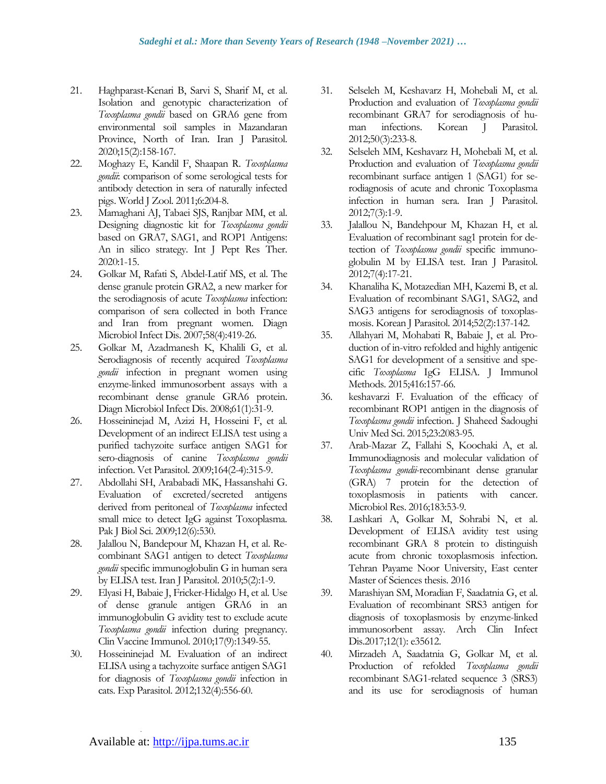- 21. Haghparast-Kenari B, Sarvi S, Sharif M, et al. Isolation and genotypic characterization of *Toxoplasma gondii* based on GRA6 gene from environmental soil samples in Mazandaran Province, North of Iran. Iran J Parasitol. 2020;15(2):158-167.
- 22. Moghazy E, Kandil F, Shaapan R. *Toxoplasma gondii*: comparison of some serological tests for antibody detection in sera of naturally infected pigs. World J Zool. 2011;6:204-8.
- 23. Mamaghani AJ, Tabaei SJS, Ranjbar MM, et al. Designing diagnostic kit for *Toxoplasma gondii* based on GRA7, SAG1, and ROP1 Antigens: An in silico strategy. Int J Pept Res Ther. 2020:1-15.
- 24. Golkar M, Rafati S, Abdel-Latif MS, et al. The dense granule protein GRA2, a new marker for the serodiagnosis of acute *Toxoplasma* infection: comparison of sera collected in both France and Iran from pregnant women. Diagn Microbiol Infect Dis. 2007;58(4):419-26.
- 25. Golkar M, Azadmanesh K, Khalili G, et al. Serodiagnosis of recently acquired *Toxoplasma gondii* infection in pregnant women using enzyme-linked immunosorbent assays with a recombinant dense granule GRA6 protein. Diagn Microbiol Infect Dis. 2008;61(1):31-9.
- 26. Hosseininejad M, Azizi H, Hosseini F, et al. Development of an indirect ELISA test using a purified tachyzoite surface antigen SAG1 for sero-diagnosis of canine *Toxoplasma gondii* infection. Vet Parasitol. 2009;164(2-4):315-9.
- 27. Abdollahi SH, Arababadi MK, Hassanshahi G. Evaluation of excreted/secreted antigens derived from peritoneal of *Toxoplasma* infected small mice to detect IgG against Toxoplasma. Pak J Biol Sci. 2009;12(6):530.
- 28. Jalallou N, Bandepour M, Khazan H, et al. Recombinant SAG1 antigen to detect *Toxoplasma gondii* specific immunoglobulin G in human sera by ELISA test. Iran J Parasitol. 2010;5(2):1-9.
- 29. Elyasi H, Babaie J, Fricker-Hidalgo H, et al. Use of dense granule antigen GRA6 in an immunoglobulin G avidity test to exclude acute *Toxoplasma gondii* infection during pregnancy. Clin Vaccine Immunol. 2010;17(9):1349-55.
- 30. Hosseininejad M. Evaluation of an indirect ELISA using a tachyzoite surface antigen SAG1 for diagnosis of *Toxoplasma gondii* infection in cats. Exp Parasitol. 2012;132(4):556-60.
- 31. Selseleh M, Keshavarz H, Mohebali M, et al. Production and evaluation of *Toxoplasma gondii* recombinant GRA7 for serodiagnosis of human infections. Korean J Parasitol. 2012;50(3):233-8.
- 32. Selseleh MM, Keshavarz H, Mohebali M, et al. Production and evaluation of *Toxoplasma gondii* recombinant surface antigen 1 (SAG1) for serodiagnosis of acute and chronic Toxoplasma infection in human sera. Iran J Parasitol. 2012;7(3):1-9.
- 33. Jalallou N, Bandehpour M, Khazan H, et al. Evaluation of recombinant sag1 protein for detection of *Toxoplasma gondii* specific immunoglobulin M by ELISA test. Iran J Parasitol. 2012;7(4):17-21.
- 34. Khanaliha K, Motazedian MH, Kazemi B, et al. Evaluation of recombinant SAG1, SAG2, and SAG3 antigens for serodiagnosis of toxoplasmosis. Korean J Parasitol. 2014;52(2):137-142.
- 35. Allahyari M, Mohabati R, Babaie J, et al. Production of in-vitro refolded and highly antigenic SAG1 for development of a sensitive and specific *Toxoplasma* IgG ELISA. J Immunol Methods. 2015;416:157-66.
- 36. keshavarzi F. Evaluation of the efficacy of recombinant ROP1 antigen in the diagnosis of *Toxoplasma gondii* infection. J Shaheed Sadoughi Univ Med Sci. 2015;23:2083-95.
- 37. Arab-Mazar Z, Fallahi S, Koochaki A, et al. Immunodiagnosis and molecular validation of *Toxoplasma gondii*-recombinant dense granular (GRA) 7 protein for the detection of toxoplasmosis in patients with cancer. Microbiol Res. 2016;183:53-9.
- 38. Lashkari A, Golkar M, Sohrabi N, et al. Development of ELISA avidity test using recombinant GRA 8 protein to distinguish acute from chronic toxoplasmosis infection. Tehran Payame Noor University, East center Master of Sciences thesis. 2016
- 39. Marashiyan SM, Moradian F, Saadatnia G, et al. Evaluation of recombinant SRS3 antigen for diagnosis of toxoplasmosis by enzyme-linked immunosorbent assay. Arch Clin Infect Dis.2017;12(1): e35612.
- 40. Mirzadeh A, Saadatnia G, Golkar M, et al. Production of refolded *Toxoplasma gondii* recombinant SAG1-related sequence 3 (SRS3) and its use for serodiagnosis of human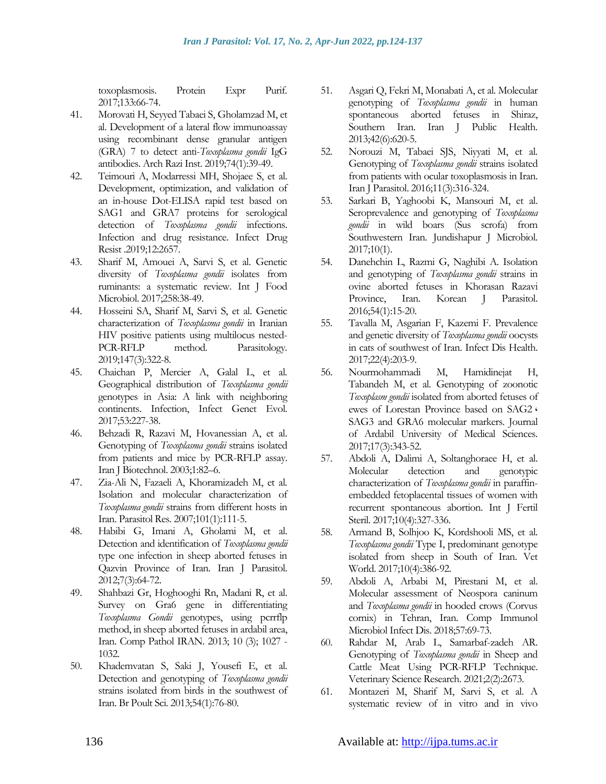toxoplasmosis. Protein Expr Purif. 2017;133:66-74.

- 41. Morovati H, Seyyed Tabaei S, Gholamzad M, et al. Development of a lateral flow immunoassay using recombinant dense granular antigen (GRA) 7 to detect anti-*Toxoplasma gondii* IgG antibodies. Arch Razi Inst. 2019;74(1):39-49.
- 42. Teimouri A, Modarressi MH, Shojaee S, et al. Development, optimization, and validation of an in-house Dot-ELISA rapid test based on SAG1 and GRA7 proteins for serological detection of *Toxoplasma gondii* infections. Infection and drug resistance. Infect Drug Resist .2019;12:2657.
- 43. Sharif M, Amouei A, Sarvi S, et al. Genetic diversity of *Toxoplasma gondii* isolates from ruminants: a systematic review. Int J Food Microbiol. 2017;258:38-49.
- 44. Hosseini SA, Sharif M, Sarvi S, et al. Genetic characterization of *Toxoplasma gondii* in Iranian HIV positive patients using multilocus nested-PCR-RFLP method. Parasitology. 2019;147(3):322-8.
- 45. Chaichan P, Mercier A, Galal L, et al. Geographical distribution of *Toxoplasma gondii* genotypes in Asia: A link with neighboring continents. Infection, Infect Genet Evol. 2017;53:227-38.
- 46. Behzadi R, Razavi M, Hovanessian A, et al. Genotyping of *Toxoplasma gondii* strains isolated from patients and mice by PCR-RFLP assay. Iran J Biotechnol. 2003;1:82–6.
- 47. Zia-Ali N, Fazaeli A, Khoramizadeh M, et al. Isolation and molecular characterization of *Toxoplasma gondii* strains from different hosts in Iran. Parasitol Res. 2007;101(1):111-5.
- 48. Habibi G, Imani A, Gholami M, et al. Detection and identification of *Toxoplasma gondii* type one infection in sheep aborted fetuses in Qazvin Province of Iran. Iran J Parasitol. 2012;7(3):64-72.
- 49. Shahbazi Gr, Hoghooghi Rn, Madani R, et al. Survey on Gra6 gene in differentiating *Toxoplasma Gondii* genotypes, using pcrrflp method, in sheep aborted fetuses in ardabil area, Iran. Comp Pathol IRAN. 2013; 10 (3); 1027 - 1032.
- 50. Khademvatan S, Saki J, Yousefi E, et al. Detection and genotyping of *Toxoplasma gondii* strains isolated from birds in the southwest of Iran. Br Poult Sci. 2013;54(1):76-80.
- 51. Asgari Q, Fekri M, Monabati A, et al. Molecular genotyping of *Toxoplasma gondii* in human spontaneous aborted fetuses in Shiraz, Southern Iran. Iran J Public Health. 2013;42(6):620-5.
- 52. Norouzi M, Tabaei SJS, Niyyati M, et al. Genotyping of *Toxoplasma gondii* strains isolated from patients with ocular toxoplasmosis in Iran. Iran J Parasitol. 2016;11(3):316-324.
- 53. Sarkari B, Yaghoobi K, Mansouri M, et al. Seroprevalence and genotyping of *Toxoplasma gondii* in wild boars (Sus scrofa) from Southwestern Iran. Jundishapur J Microbiol. 2017;10(1).
- 54. Danehchin L, Razmi G, Naghibi A. Isolation and genotyping of *Toxoplasma gondii* strains in ovine aborted fetuses in Khorasan Razavi Province, Iran. Korean J Parasitol. 2016;54(1):15-20.
- 55. Tavalla M, Asgarian F, Kazemi F. Prevalence and genetic diversity of *Toxoplasma gondii* oocysts in cats of southwest of Iran. Infect Dis Health. 2017;22(4):203-9.
- 56. Nourmohammadi M, Hamidinejat H, Tabandeh M, et al. Genotyping of zoonotic *Toxoplasm gondii* isolated from aborted fetuses of ewes of Lorestan Province based on SAG2 ، SAG3 and GRA6 molecular markers. Journal of Ardabil University of Medical Sciences. 2017;17(3):343-52.
- 57. Abdoli A, Dalimi A, Soltanghoraee H, et al. Molecular detection and genotypic characterization of *Toxoplasma gondii* in paraffinembedded fetoplacental tissues of women with recurrent spontaneous abortion. Int J Fertil Steril. 2017;10(4):327-336.
- 58. Armand B, Solhjoo K, Kordshooli MS, et al. *Toxoplasma gondii* Type I, predominant genotype isolated from sheep in South of Iran. Vet World. 2017;10(4):386-92.
- 59. Abdoli A, Arbabi M, Pirestani M, et al. Molecular assessment of Neospora caninum and *Toxoplasma gondii* in hooded crows (Corvus cornix) in Tehran, Iran. Comp Immunol Microbiol Infect Dis. 2018;57:69-73.
- 60. Rahdar M, Arab L, Samarbaf-zadeh AR. Genotyping of *Toxoplasma gondii* in Sheep and Cattle Meat Using PCR-RFLP Technique. Veterinary Science Research. 2021;2(2):2673.
- 61. Montazeri M, Sharif M, Sarvi S, et al. A systematic review of in vitro and in vivo